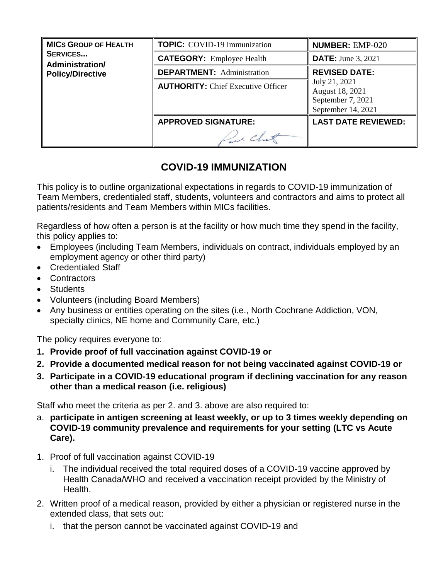| <b>MICS GROUP OF HEALTH</b><br><b>SERVICES</b><br>Administration/<br><b>Policy/Directive</b> | <b>TOPIC:</b> COVID-19 Immunization       | <b>NUMBER: EMP-020</b>                                                      |
|----------------------------------------------------------------------------------------------|-------------------------------------------|-----------------------------------------------------------------------------|
|                                                                                              | <b>CATEGORY:</b> Employee Health          | <b>DATE:</b> June 3, 2021                                                   |
|                                                                                              | <b>DEPARTMENT:</b> Administration         | <b>REVISED DATE:</b>                                                        |
|                                                                                              | <b>AUTHORITY:</b> Chief Executive Officer | July 21, 2021<br>August 18, 2021<br>September 7, 2021<br>September 14, 2021 |
|                                                                                              | <b>APPROVED SIGNATURE:</b>                | <b>LAST DATE REVIEWED:</b>                                                  |
|                                                                                              |                                           |                                                                             |

# **COVID-19 IMMUNIZATION**

This policy is to outline organizational expectations in regards to COVID-19 immunization of Team Members, credentialed staff, students, volunteers and contractors and aims to protect all patients/residents and Team Members within MICs facilities.

Regardless of how often a person is at the facility or how much time they spend in the facility, this policy applies to:

- Employees (including Team Members, individuals on contract, individuals employed by an employment agency or other third party)
- Credentialed Staff
- Contractors
- Students
- Volunteers (including Board Members)
- Any business or entities operating on the sites (i.e., North Cochrane Addiction, VON, specialty clinics, NE home and Community Care, etc.)

The policy requires everyone to:

- **1. Provide proof of full vaccination against COVID-19 or**
- **2. Provide a documented medical reason for not being vaccinated against COVID-19 or**
- **3. Participate in a COVID-19 educational program if declining vaccination for any reason other than a medical reason (i.e. religious)**

Staff who meet the criteria as per 2. and 3. above are also required to:

- a. **participate in antigen screening at least weekly, or up to 3 times weekly depending on COVID-19 community prevalence and requirements for your setting (LTC vs Acute Care).**
- 1. Proof of full vaccination against COVID-19
	- i. The individual received the total required doses of a COVID-19 vaccine approved by Health Canada/WHO and received a vaccination receipt provided by the Ministry of Health.
- 2. Written proof of a medical reason, provided by either a physician or registered nurse in the extended class, that sets out:
	- i. that the person cannot be vaccinated against COVID-19 and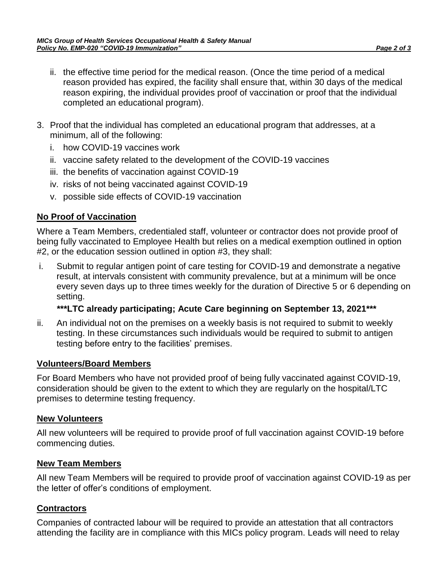- ii. the effective time period for the medical reason. (Once the time period of a medical reason provided has expired, the facility shall ensure that, within 30 days of the medical reason expiring, the individual provides proof of vaccination or proof that the individual completed an educational program).
- 3. Proof that the individual has completed an educational program that addresses, at a minimum, all of the following:
	- i. how COVID-19 vaccines work
	- ii. vaccine safety related to the development of the COVID-19 vaccines
	- iii. the benefits of vaccination against COVID-19
	- iv. risks of not being vaccinated against COVID-19
	- v. possible side effects of COVID-19 vaccination

# **No Proof of Vaccination**

Where a Team Members, credentialed staff, volunteer or contractor does not provide proof of being fully vaccinated to Employee Health but relies on a medical exemption outlined in option #2, or the education session outlined in option #3, they shall:

i. Submit to regular antigen point of care testing for COVID-19 and demonstrate a negative result, at intervals consistent with community prevalence, but at a minimum will be once every seven days up to three times weekly for the duration of Directive 5 or 6 depending on setting.

# **\*\*\*LTC already participating; Acute Care beginning on September 13, 2021\*\*\***

ii. An individual not on the premises on a weekly basis is not required to submit to weekly testing. In these circumstances such individuals would be required to submit to antigen testing before entry to the facilities' premises.

#### **Volunteers/Board Members**

For Board Members who have not provided proof of being fully vaccinated against COVID-19, consideration should be given to the extent to which they are regularly on the hospital/LTC premises to determine testing frequency.

#### **New Volunteers**

All new volunteers will be required to provide proof of full vaccination against COVID-19 before commencing duties.

#### **New Team Members**

All new Team Members will be required to provide proof of vaccination against COVID-19 as per the letter of offer's conditions of employment.

# **Contractors**

Companies of contracted labour will be required to provide an attestation that all contractors attending the facility are in compliance with this MICs policy program. Leads will need to relay